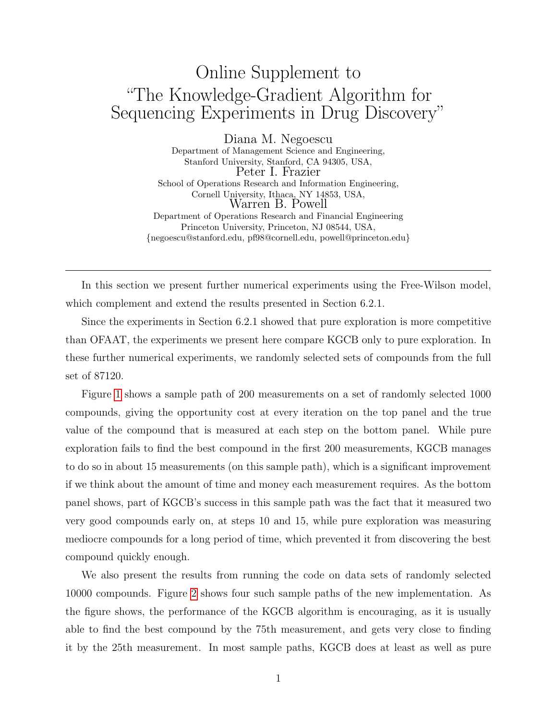## Online Supplement to "The Knowledge-Gradient Algorithm for Sequencing Experiments in Drug Discovery"

Diana M. Negoescu Department of Management Science and Engineering, Stanford University, Stanford, CA 94305, USA, Peter I. Frazier School of Operations Research and Information Engineering, Cornell University, Ithaca, NY 14853, USA, Warren B. Powell Department of Operations Research and Financial Engineering Princeton University, Princeton, NJ 08544, USA, {negoescu@stanford.edu, pf98@cornell.edu, powell@princeton.edu}

In this section we present further numerical experiments using the Free-Wilson model, which complement and extend the results presented in Section 6.2.1.

Since the experiments in Section 6.2.1 showed that pure exploration is more competitive than OFAAT, the experiments we present here compare KGCB only to pure exploration. In these further numerical experiments, we randomly selected sets of compounds from the full set of 87120.

Figure [1](#page-2-0) shows a sample path of 200 measurements on a set of randomly selected 1000 compounds, giving the opportunity cost at every iteration on the top panel and the true value of the compound that is measured at each step on the bottom panel. While pure exploration fails to find the best compound in the first 200 measurements, KGCB manages to do so in about 15 measurements (on this sample path), which is a significant improvement if we think about the amount of time and money each measurement requires. As the bottom panel shows, part of KGCB's success in this sample path was the fact that it measured two very good compounds early on, at steps 10 and 15, while pure exploration was measuring mediocre compounds for a long period of time, which prevented it from discovering the best compound quickly enough.

We also present the results from running the code on data sets of randomly selected 10000 compounds. Figure [2](#page-2-1) shows four such sample paths of the new implementation. As the figure shows, the performance of the KGCB algorithm is encouraging, as it is usually able to find the best compound by the 75th measurement, and gets very close to finding it by the 25th measurement. In most sample paths, KGCB does at least as well as pure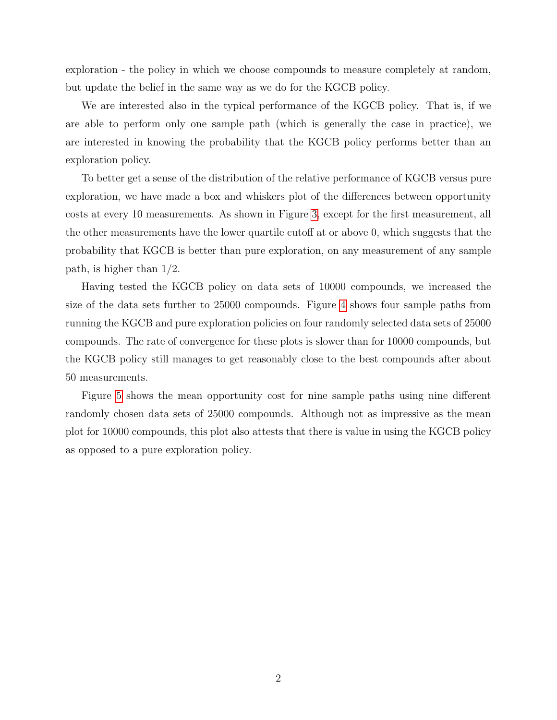exploration - the policy in which we choose compounds to measure completely at random, but update the belief in the same way as we do for the KGCB policy.

We are interested also in the typical performance of the KGCB policy. That is, if we are able to perform only one sample path (which is generally the case in practice), we are interested in knowing the probability that the KGCB policy performs better than an exploration policy.

To better get a sense of the distribution of the relative performance of KGCB versus pure exploration, we have made a box and whiskers plot of the differences between opportunity costs at every 10 measurements. As shown in Figure [3,](#page-3-0) except for the first measurement, all the other measurements have the lower quartile cutoff at or above 0, which suggests that the probability that KGCB is better than pure exploration, on any measurement of any sample path, is higher than 1/2.

Having tested the KGCB policy on data sets of 10000 compounds, we increased the size of the data sets further to 25000 compounds. Figure [4](#page-3-1) shows four sample paths from running the KGCB and pure exploration policies on four randomly selected data sets of 25000 compounds. The rate of convergence for these plots is slower than for 10000 compounds, but the KGCB policy still manages to get reasonably close to the best compounds after about 50 measurements.

Figure [5](#page-4-0) shows the mean opportunity cost for nine sample paths using nine different randomly chosen data sets of 25000 compounds. Although not as impressive as the mean plot for 10000 compounds, this plot also attests that there is value in using the KGCB policy as opposed to a pure exploration policy.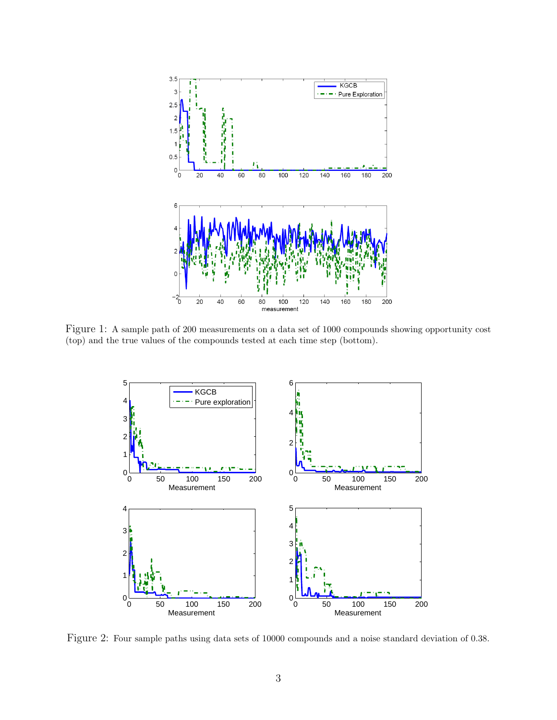

<span id="page-2-0"></span>Figure 1: A sample path of 200 measurements on a data set of 1000 compounds showing opportunity cost (top) and the true values of the compounds tested at each time step (bottom).



<span id="page-2-1"></span>Figure 2: Four sample paths using data sets of 10000 compounds and a noise standard deviation of 0.38.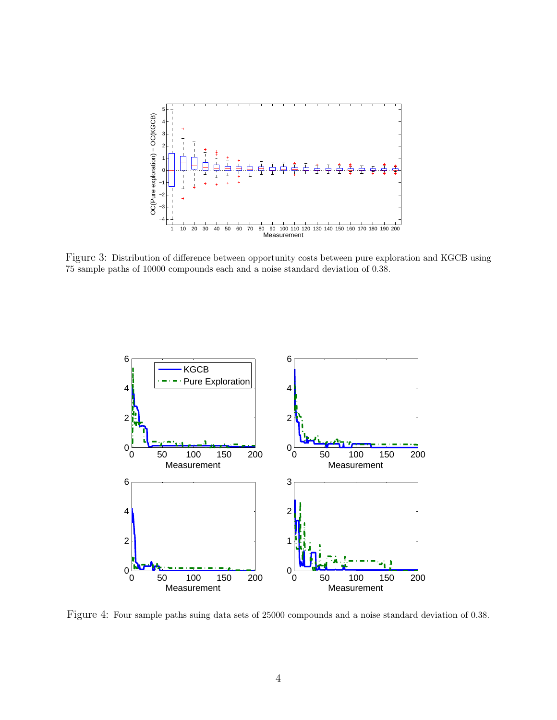

<span id="page-3-0"></span>Figure 3: Distribution of difference between opportunity costs between pure exploration and KGCB using 75 sample paths of 10000 compounds each and a noise standard deviation of 0.38.



<span id="page-3-1"></span>Figure 4: Four sample paths suing data sets of 25000 compounds and a noise standard deviation of 0.38.